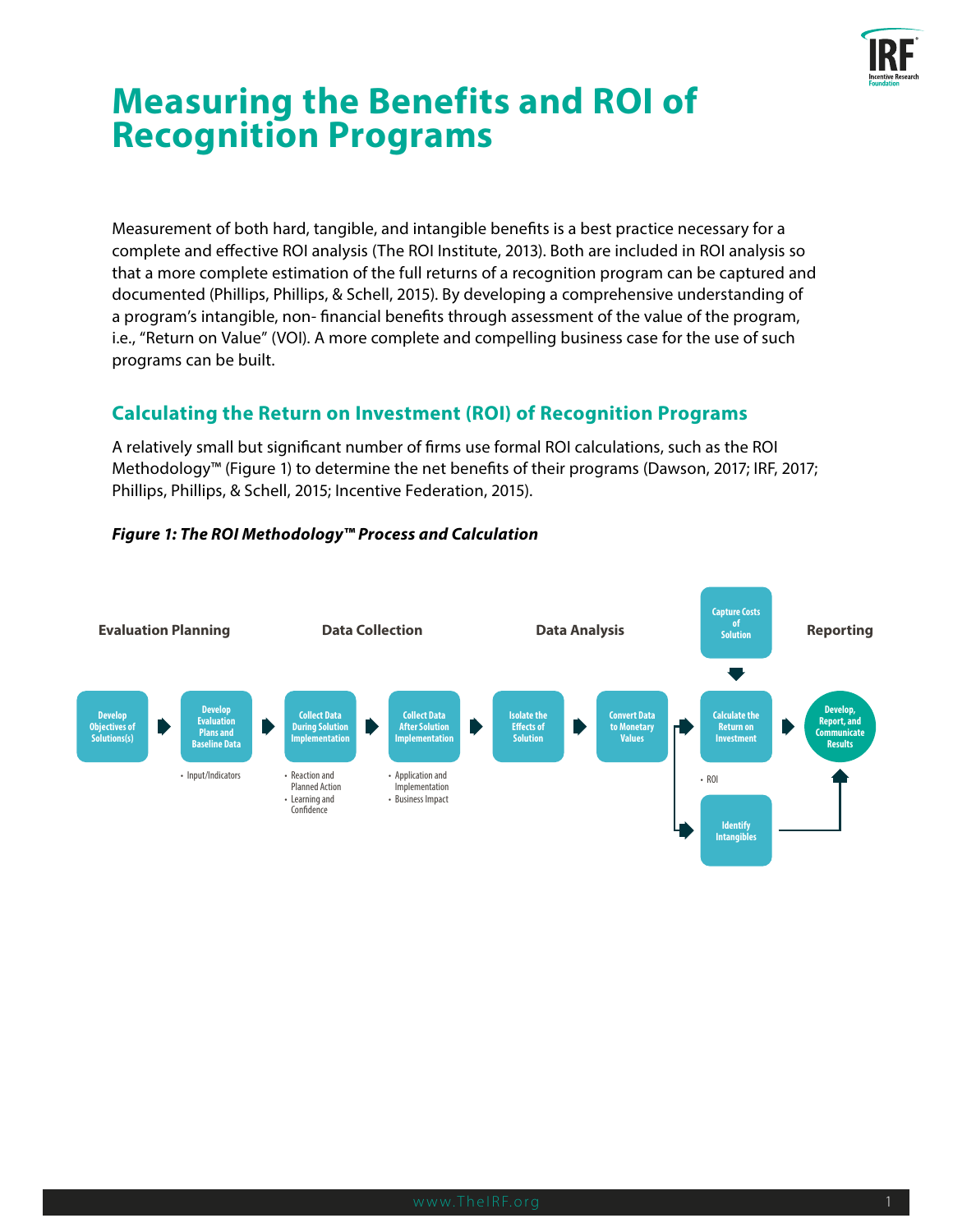

# **Measuring the Benefits and ROI of Recognition Programs**

Measurement of both hard, tangible, and intangible benefits is a best practice necessary for a complete and effective ROI analysis (The ROI Institute, 2013). Both are included in ROI analysis so that a more complete estimation of the full returns of a recognition program can be captured and documented (Phillips, Phillips, & Schell, 2015). By developing a comprehensive understanding of a program's intangible, non- financial benefits through assessment of the value of the program, i.e., "Return on Value" (VOI). A more complete and compelling business case for the use of such programs can be built.

# **Calculating the Return on Investment (ROI) of Recognition Programs**

A relatively small but significant number of firms use formal ROI calculations, such as the ROI Methodology™ (Figure 1) to determine the net benefits of their programs (Dawson, 2017; IRF, 2017; Phillips, Phillips, & Schell, 2015; Incentive Federation, 2015).



## *Figure 1: The ROI Methodology™ Process and Calculation*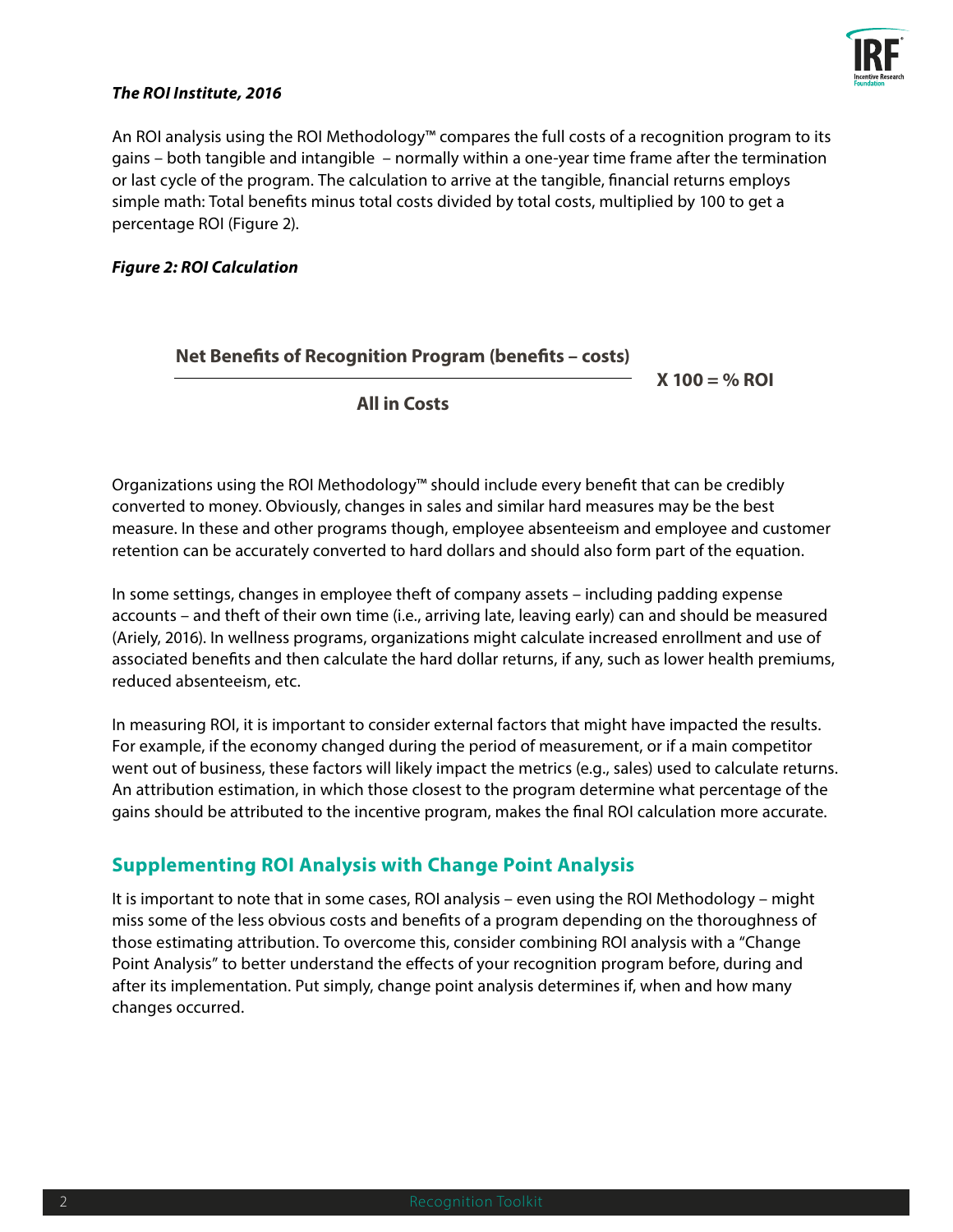

#### *The ROI Institute, 2016*

An ROI analysis using the ROI Methodology™ compares the full costs of a recognition program to its gains – both tangible and intangible – normally within a one-year time frame after the termination or last cycle of the program. The calculation to arrive at the tangible, financial returns employs simple math: Total benefits minus total costs divided by total costs, multiplied by 100 to get a percentage ROI (Figure 2).

#### *Figure 2: ROI Calculation*

## **Net Benefits of Recognition Program (benefits – costs)**

**X 100 = % ROI**

**All in Costs**

Organizations using the ROI Methodology™ should include every benefit that can be credibly converted to money. Obviously, changes in sales and similar hard measures may be the best measure. In these and other programs though, employee absenteeism and employee and customer retention can be accurately converted to hard dollars and should also form part of the equation.

In some settings, changes in employee theft of company assets – including padding expense accounts – and theft of their own time (i.e., arriving late, leaving early) can and should be measured (Ariely, 2016). In wellness programs, organizations might calculate increased enrollment and use of associated benefits and then calculate the hard dollar returns, if any, such as lower health premiums, reduced absenteeism, etc.

In measuring ROI, it is important to consider external factors that might have impacted the results. For example, if the economy changed during the period of measurement, or if a main competitor went out of business, these factors will likely impact the metrics (e.g., sales) used to calculate returns. An attribution estimation, in which those closest to the program determine what percentage of the gains should be attributed to the incentive program, makes the final ROI calculation more accurate.

## **Supplementing ROI Analysis with Change Point Analysis**

It is important to note that in some cases, ROI analysis – even using the ROI Methodology – might miss some of the less obvious costs and benefits of a program depending on the thoroughness of those estimating attribution. To overcome this, consider combining ROI analysis with a "Change Point Analysis" to better understand the effects of your recognition program before, during and after its implementation. Put simply, change point analysis determines if, when and how many changes occurred.